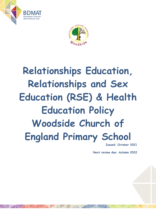



# **Relationships Education, Relationships and Sex Education (RSE) & Health Education Policy Woodside Church of England Primary School**

**Issued: October 2021**

**Next review due: Autumn 2022**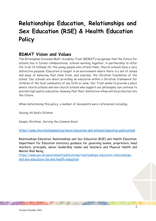## **Relationships Education, Relationships and Sex Education (RSE) & Health Education Policy**

## **BDMAT Vision and Values**

The Birmingham Diocesan Multi-Academy Trust (BDMAT) recognises that the future for schools lies in formal collaborations; schools working together, in partnership to offer life in all its fullness for the young people who attend them. Church schools have a very distinctive purpose: Education is taught in an environment where there is a set of values and ways of behaving that stem from, and express, the Christian foundation of the school. Our schools are about providing an education within a Christian framework for children of the local community of any faith or none; Our Trust seeks to provide a place where church schools and non-church schools who support our philosophy can continue to provide high quality education, knowing that their distinctive ethos will be protected into the future.

When determining this policy, a number of documents were referenced including:

Valuing All God's Children

Deeply Christian, Serving the Common Good

<https://www.churchofengland.org/more/education-and-schools/education-publications>

Relationships Education, Relationships and Sex Education (RSE) and Health Education; Department for Education statutory guidance for governing bodies, proprietors, head teachers, principals, senior leadership teams and teachers and Physical Health and Mental Well Being.

[https://www.gov.uk/government/publications/relationships-education-relationships](https://www.gov.uk/government/publications/relationships-education-relationships-and-sex-education-rse-and-health-education)[and-sex-education-rse-and-health-education](https://www.gov.uk/government/publications/relationships-education-relationships-and-sex-education-rse-and-health-education)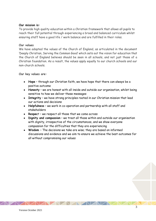#### **Our mission is:**

To provide high quality education within a Christian framework that allows all pupils to reach their full potential through experiencing a broad and balanced curriculum whilst ensuring staff have a good life / work balance and are fulfilled in their roles.

#### **Our values**

We have adopted the values of the Church of England, as articulated in the document 'Deeply Christian, Serving the Common Good' which sets out the vision for education that the Church of England believes should be seen in all schools, and not just those of a Christian foundation. As a result, the values apply equally to our church schools and our non-church schools.

**Our key values are:**

- **Hope** through our Christian faith, we have hope that there can always be a positive outcome
- **Honesty** we are honest with all inside and outside our organisation, whilst being sensitive to how we deliver these messages
- **Integrity** we have strong principles rooted in our Christian mission that lead our actions and decisions
- **Helpfulness** we work in co-operation and partnership with all staff and stakeholders
- **Respec**t we respect all those that we come across
- **Dignity and compassion** we treat all those within and outside our organisation with dignity, irrespective of the circumstances, and we show everyone compassion for the difficulties that they are experiencing
- **Wisdom**  The decisions we take are wise; they are based on informed discussions and evidence and we aim to ensure we achieve the best outcomes for all without compromising our values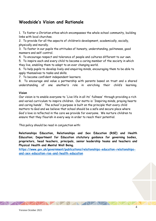## **Woodside's Vision and Rationale**

1. To foster a Christian ethos which encompasses the whole school community, building links with local churches.

2. To provide for all the aspects of children's development, academically, socially, physically and morally.

3. To foster in our pupils the attitudes of honesty, understanding, politeness, good manners and self-control.

4. To encourage respect and tolerance of people and cultures different to our own.

5. To inspire each and every child to become a caring member of the society in which they live, enabling them to adapt to an ever changing world.

6. To help pupils to develop lively and enquiring minds, encouraging them to be able to apply themselves to tasks and skills.

7. To become confident independent learners.

8. To encourage and value a partnership with parents based on trust and a shared understanding of one another's role in enriching their child's learning.

#### **Vision**

Our vision is to enable everyone to 'Live life in all its' fullness' through providing a rich and varied curriculum to inspire children. Our motto is 'Inspiring minds, praying hearts and caring hands'. The school's purpose is built on the principle that every child matters to God and we believe that school should be a safe and secure place where God's love is reflected in the care we provide for everyone. We nurture children to ensure that they flourish in every way in order to reach their potential.

This policy should be read in conjunction with:

**Relationships Education, Relationships and Sex Education (RSE) and Health Education; Department for Education statutory guidance for governing bodies, proprietors, head teachers, principals, senior leadership teams and teachers and Physical Health and Mental Well Being.** 

**[https://www.gov.uk/government/publications/relationships-education-relationships](https://www.gov.uk/government/publications/relationships-education-relationships-and-sex-education-rse-and-health-education)[and-sex-education-rse-and-health-education](https://www.gov.uk/government/publications/relationships-education-relationships-and-sex-education-rse-and-health-education)**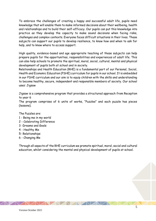To embrace the challenges of creating a happy and successful adult life, pupils need knowledge that will enable them to make informed decisions about their wellbeing, health and relationships and to build their self-efficacy. Our pupils can put this knowledge into practice as they develop the capacity to make sound decisions when facing risks, challenges and complex contexts. Everyone faces difficult situations in their lives. These subjects can support our pupils to develop resilience, to know how and when to ask for help, and to know where to access support.

High quality, evidence-based and age appropriate teaching of these subjects can help prepare pupils for the opportunities, responsibilities and experiences of adult life. This can also help schools to promote the spiritual, moral, social, cultural, mental and physical development of pupils both at school and in society.

Relationships and Health Education (RHE) is a fundamental part of our Personal, Social, Health and Economic Education (PSHE) curriculum for pupils in our school. It is embedded in our PSHE curriculum and our aim is to equip children with the skills and understanding to become healthy, secure, independent and responsible members of society. Our school uses: Jigsaw

Jigsaw is a comprehensive program that provides a structured approach from Reception to year 6

The program comprises of 6 units of works, "Puzzles" and each puzzle has pieces (lessons).

The Puzzles are:

- 1 Being me in my world
- 2 Celebrating Difference
- 3 -Dreams and Goals
- 4 Healthy Me
- 5- Relationships
- 6 Changing Me

Through all aspects of the RHE curriculum we promote spiritual, moral, social and cultural education, whilst considering the mental and physical development of pupils at school.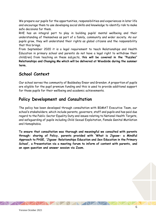We prepare our pupils for the opportunities, responsibilities and experiences in later life and encourage them to use developing social skills and knowledge to identify risk to make safe decisions for them.

RHE has an integral part to play in building pupils' mental wellbeing and their understanding of themselves as part of a family, community and wider society. As our pupils grow, they will understand their rights as global citizens and the responsibility that this brings.

From September 2020 it is a legal requirement to teach Relationships and Health Education in primary school and parents do not have a legal right to withdraw their child(ren) from teaching on these subjects, t**his will be covered in the "Puzzles" Relationships and Changing Me which will be delivered at Woodside during the summer term.**

## **School Context**

Our school serves the community of Baddesley Ensor and Grendon .A proportion of pupils are eligible for the pupil premium funding and this is used to provide additional support for those pupils for their wellbeing and academic achievements.

## **Policy Development and Consultation**

The policy has been developed through consultation with BDMAT Executive Team, our school's stakeholders, which include parents, governors, staff and pupils and has paid due regard to the Public Sector Equality Duty and issues relating to National Health Targets, and safeguarding of pupils including Child Sexual Exploitation, Female Genital Mutilation and Homophobia.

**To ensure that consultation was thorough and meaningful we consulted with parents through: sharing of Policy, parents provided with 'What is Jigsaw- a Mindful Approach to PHSE, 'Jigsaw: Relationships Education and Sex Education in the Primary School', a Presentation via a meeting forum to inform of content with parents, and an open question and answer session via Zoom.**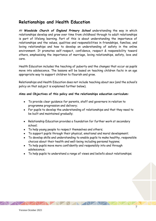## **Relationships and Health Education**

At *Woodside Church of England Primary School* understanding the way in which relationships develop and grow over time from childhood through to adult relationships is part of lifelong learning. Part of this is about understanding the importance of relationships and the values, qualities and responsibilities in friendships, families, and loving relationships and how to develop an understanding of safety in the online environment. It promotes self-respect, confidence, respect & responsibility toward others, emphasising the importance of marriage, loving relationships, safety, love and care.

Health Education includes the teaching of puberty and the changes that occur as pupils move into adolescence. The lessons will be based on teaching children facts in an age appropriate way to support children to flourish and grow.

Relationships and Health Education does not include teaching about sex (and the school's policy on that subject is explained further below).

#### **Aims and Objectives of this policy and the relationships education curriculum:**

- To provide clear quidance for parents, staff and governors in relation to programme progression and delivery;
- For pupils to develop the understanding of relationships and that they need to be built and maintained gradually;
- Relationship Education provides a foundation for further work at secondary school;
- To help young people to respect themselves and others;
- To support pupils through their physical, emotional and moral development;
- To develop skills and understanding to enable pupils to make healthy, responsible choices about their health and well-being including personal hygiene;
- To help pupils move more confidently and responsibly into and through adolescence;
- To help pupils to understand a range of views and beliefs about relationships;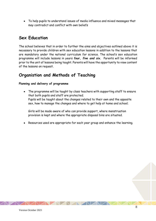● To help pupils to understand issues of media influence and mixed messages that may contradict and conflict with own beliefs

## **Sex Education**

The school believes that in order to further the aims and objectives outlined above it is necessary to provide children with sex education lessons in addition to the lessons that are mandatory under the national curriculum for science. The school's sex education programme will include lessons in years *four, five and six.* Parents will be informed prior to the unit of lessons being taught. Parents will have the opportunity to view content of the lessons on request.

## **Organistion and Methods of Teaching**

#### **Planning and delivery of programme**

• The programme will be taught by class teachers with supporting staff to ensure that both pupils and staff are protected; Pupils will be taught about the changes related to their own and the opposite sex, how to manage the changes and where to get help at home and school;

Girls will be made aware of who can provide support, where menstruation provision is kept and where the appropriate disposal bins are situated.

Resources used are appropriate for each year group and enhance the learning.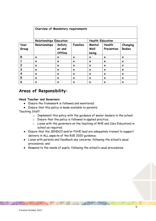|                | Overview of Mandatory requirements |                             |                           |                           |                           |                           |
|----------------|------------------------------------|-----------------------------|---------------------------|---------------------------|---------------------------|---------------------------|
|                | <b>Relationships Education</b>     |                             |                           | <b>Health Education</b>   |                           |                           |
| Year<br>Group  | Relationships                      | Safety<br>on and<br>Offline | <b>Families</b>           | Mental<br>Well<br>being   | Health<br>Prevention      | Changing<br><b>Bodies</b> |
| R              | $\boldsymbol{\mathsf{x}}$          | X                           | $\boldsymbol{\mathsf{x}}$ | $\boldsymbol{\mathsf{x}}$ | $\boldsymbol{\mathsf{x}}$ | $\boldsymbol{\mathsf{x}}$ |
|                | $\boldsymbol{\mathsf{x}}$          | $\boldsymbol{\mathsf{x}}$   | X                         | $\boldsymbol{\mathsf{x}}$ | $\boldsymbol{\mathsf{x}}$ | $\boldsymbol{\mathsf{x}}$ |
| $\overline{c}$ | $\boldsymbol{\mathsf{x}}$          | X                           | X                         | $\boldsymbol{\mathsf{x}}$ | $\boldsymbol{\mathsf{x}}$ | $\boldsymbol{\mathsf{x}}$ |
| 3              | $\boldsymbol{\mathsf{x}}$          | $\boldsymbol{\mathsf{x}}$   | $\boldsymbol{\mathsf{x}}$ | $\boldsymbol{\mathsf{x}}$ | $\boldsymbol{\mathsf{x}}$ | $\boldsymbol{\mathsf{x}}$ |
| 4              | $\boldsymbol{\mathsf{x}}$          | X                           | X                         | $\boldsymbol{\mathsf{x}}$ | $\boldsymbol{\mathsf{x}}$ | $\boldsymbol{\mathsf{x}}$ |
| 5              | $\boldsymbol{\mathsf{x}}$          | $\boldsymbol{\mathsf{x}}$   | $\boldsymbol{\mathsf{x}}$ | $\boldsymbol{\mathsf{x}}$ | $\boldsymbol{\mathsf{x}}$ | $\boldsymbol{\mathsf{x}}$ |
| 6              | X                                  | X                           | X                         | $\boldsymbol{\mathsf{x}}$ | $\boldsymbol{\mathsf{x}}$ | ×                         |

## **Areas of Responsibility:**

#### **Head Teacher and Governors**

- Ensure the framework is followed and monitored;
- Ensure that this policy is made available to parents;

Teaching Staff:

- o Implement this policy with the guidance of senior leaders in the school;
- o Ensure that the policy is followed in applied practice;
- o Liaise with the governors on the teaching of RHE and (Sex Education) in school as required;
- Ensure that the SENDCO and/or PSHE lead are adequately trained to support delivery in ALL aspects of the RSE 2020 guidance;
- Liaise with parents and feedback any concerns, following the school's usual procedures; and
- Respond to the needs of pupils, following the school's usual procedures.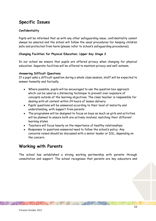## **Specific Issues**

#### **Confidentiality**

Pupils will be informed that as with any other safeguarding issue, confidentiality cannot always be assured and the school will follow the usual procedures for keeping children safe and protected from harm (please refer to school's safeguarding procedures).

#### **Changing Facilities for Physical Education; Upper Key Stage 2**

In our school we ensure that pupils are offered privacy when changing for physical education. Separate facilities will be offered to maintain privacy and self-esteem.

#### **Answering Difficult Questions**

If a pupil asks a difficult question during a whole class session, staff will be expected to answer honestly and factually.

- Where possible, pupils will be encouraged to use the question box approach which can be used as a distancing technique to prevent over exposure of concepts outside of the learning objectives. The class teacher is responsible for dealing with all content within 24 hours of lesson delivery
- Pupils' questions will be answered according to their level of maturity and understanding, with support from parents
- The programme will be designed to focus on boys as much as girls and activities will be planned to ensure both are actively involved, matching their different learning styles
- Teachers will focus heavily on the importance of healthy relationships
- Responses to questions answered need to follow the school's policy. Any concerns raised should be discussed with a senior leader or DSL, depending on the concern.

## **Working with Parents**

The school has established a strong working partnership with parents through consultation and support. The school recognises that parents are key educators and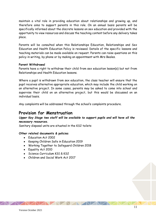maintain a vital role in providing education about relationships and growing up, and therefore aims to support parents in this role. On an annual basis parents will be specifically informed about the discrete lessons on sex education and provided with the opportunity to view resources and discuss the teaching content before any delivery takes place.

Parents will be consulted when this Relationships Education, Relationships and Sex Education and Health Education Policy is reviewed. Details of the specific lessons and teaching materials can be made available on request. Parents can raise questions on this policy in writing, by phone or by making an appointment with Mrs Beales.

#### **Parent Withdrawal**

Parents have a right to withdraw their child from sex education lesson(s) but not from Relationships and Health Education lessons.

Where a pupil is withdrawn from sex education, the class teacher will ensure that the pupil receives alternative appropriate education, which may include the child working on an alternative project. In some cases, parents may be asked to come into school and supervise their child on an alternative project, but this would be discussed on an individual basis.

Any complaints will be addressed through the school's complaints procedure.

## **Provision for Menstruation**

#### *Upper Key Stage two staff will be available to support pupils and will have all the necessary resources.*

Sanitary disposal units are situated in the KS2 toilets

#### **Other related documents & policies**

- Education Act 2002
- Keeping Children Safe in Education 2019
- Working Together to Safeguard Children 2018
- Equality Act 2010
- Science Curriculum KS1 & KS2
- Children and Social Work Act 2017